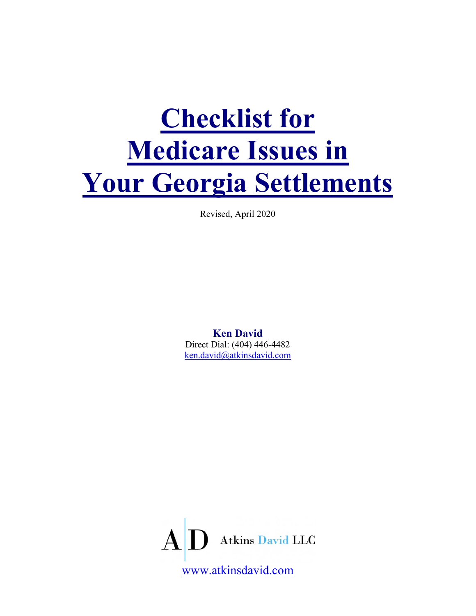# Checklist for Medicare Issues in Your Georgia Settlements

Revised, April 2020

Ken David Direct Dial: (404) 446-4482 ken.david@atkinsdavid.com

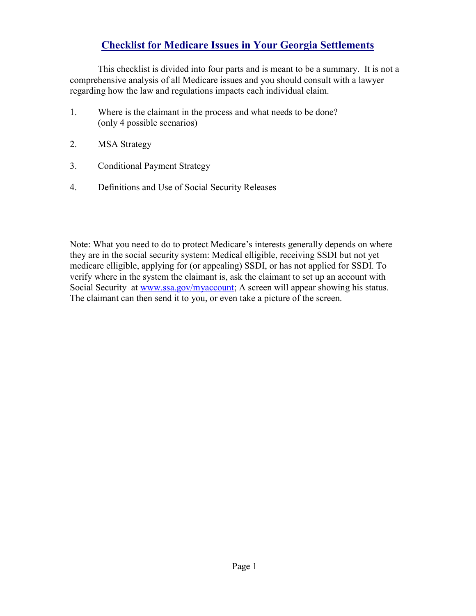# Checklist for Medicare Issues in Your Georgia Settlements

This checklist is divided into four parts and is meant to be a summary. It is not a comprehensive analysis of all Medicare issues and you should consult with a lawyer regarding how the law and regulations impacts each individual claim.

- 1. Where is the claimant in the process and what needs to be done? (only 4 possible scenarios)
- 2. MSA Strategy
- 3. Conditional Payment Strategy
- 4. Definitions and Use of Social Security Releases

Note: What you need to do to protect Medicare's interests generally depends on where they are in the social security system: Medical elligible, receiving SSDI but not yet medicare elligible, applying for (or appealing) SSDI, or has not applied for SSDI. To verify where in the system the claimant is, ask the claimant to set up an account with Social Security at www.ssa.gov/myaccount; A screen will appear showing his status. The claimant can then send it to you, or even take a picture of the screen.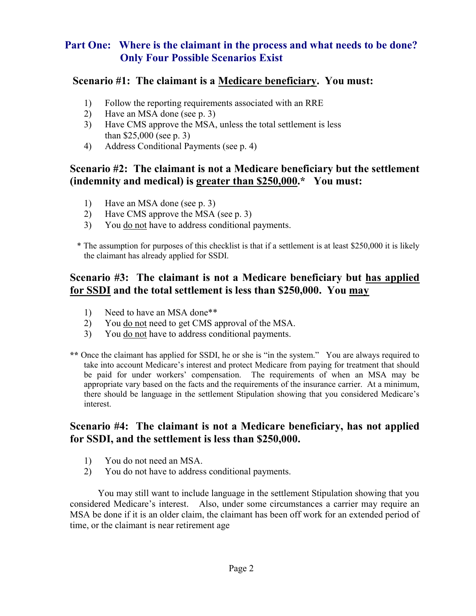## Part One: Where is the claimant in the process and what needs to be done? Only Four Possible Scenarios Exist

#### Scenario #1: The claimant is a Medicare beneficiary. You must:

- 1) Follow the reporting requirements associated with an RRE
- 2) Have an MSA done (see p. 3)
- 3) Have CMS approve the MSA, unless the total settlement is less than \$25,000 (see p. 3)
- 4) Address Conditional Payments (see p. 4)

# Scenario #2: The claimant is not a Medicare beneficiary but the settlement (indemnity and medical) is greater than \$250,000.\* You must:

- 1) Have an MSA done (see p. 3)
- 2) Have CMS approve the MSA (see p. 3)
- 3) You do not have to address conditional payments.

\* The assumption for purposes of this checklist is that if a settlement is at least \$250,000 it is likely the claimant has already applied for SSDI.

## Scenario #3: The claimant is not a Medicare beneficiary but has applied for SSDI and the total settlement is less than \$250,000. You may

- 1) Need to have an MSA done\*\*
- 2) You <u>do not</u> need to get CMS approval of the MSA.
- 3) You do not have to address conditional payments.
- \*\* Once the claimant has applied for SSDI, he or she is "in the system." You are always required to take into account Medicare's interest and protect Medicare from paying for treatment that should be paid for under workers' compensation. The requirements of when an MSA may be appropriate vary based on the facts and the requirements of the insurance carrier. At a minimum, there should be language in the settlement Stipulation showing that you considered Medicare's interest.

### Scenario #4: The claimant is not a Medicare beneficiary, has not applied for SSDI, and the settlement is less than \$250,000.

- 1) You do not need an MSA.
- 2) You do not have to address conditional payments.

 You may still want to include language in the settlement Stipulation showing that you considered Medicare's interest. Also, under some circumstances a carrier may require an MSA be done if it is an older claim, the claimant has been off work for an extended period of time, or the claimant is near retirement age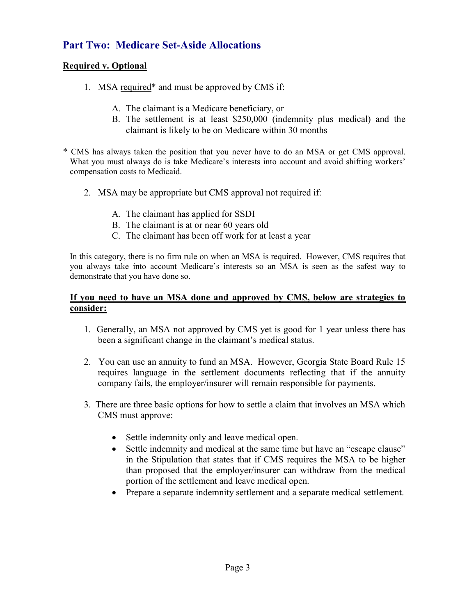# Part Two: Medicare Set-Aside Allocations

#### Required v. Optional

- 1. MSA required\* and must be approved by CMS if:
	- A. The claimant is a Medicare beneficiary, or
	- B. The settlement is at least \$250,000 (indemnity plus medical) and the claimant is likely to be on Medicare within 30 months
- \* CMS has always taken the position that you never have to do an MSA or get CMS approval. What you must always do is take Medicare's interests into account and avoid shifting workers' compensation costs to Medicaid.
	- 2. MSA may be appropriate but CMS approval not required if:
		- A. The claimant has applied for SSDI
		- B. The claimant is at or near 60 years old
		- C. The claimant has been off work for at least a year

In this category, there is no firm rule on when an MSA is required. However, CMS requires that you always take into account Medicare's interests so an MSA is seen as the safest way to demonstrate that you have done so.

#### If you need to have an MSA done and approved by CMS, below are strategies to consider:

- 1. Generally, an MSA not approved by CMS yet is good for 1 year unless there has been a significant change in the claimant's medical status.
- 2. You can use an annuity to fund an MSA. However, Georgia State Board Rule 15 requires language in the settlement documents reflecting that if the annuity company fails, the employer/insurer will remain responsible for payments.
- 3. There are three basic options for how to settle a claim that involves an MSA which CMS must approve:
	- Settle indemnity only and leave medical open.
	- Settle indemnity and medical at the same time but have an "escape clause" in the Stipulation that states that if CMS requires the MSA to be higher than proposed that the employer/insurer can withdraw from the medical portion of the settlement and leave medical open.
	- Prepare a separate indemnity settlement and a separate medical settlement.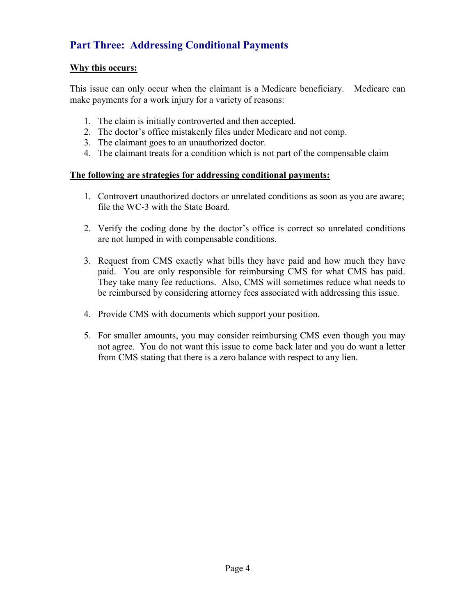# Part Three: Addressing Conditional Payments

#### Why this occurs:

 This issue can only occur when the claimant is a Medicare beneficiary. Medicare can make payments for a work injury for a variety of reasons:

- 1. The claim is initially controverted and then accepted.
- 2. The doctor's office mistakenly files under Medicare and not comp.
- 3. The claimant goes to an unauthorized doctor.
- 4. The claimant treats for a condition which is not part of the compensable claim

#### The following are strategies for addressing conditional payments:

- 1. Controvert unauthorized doctors or unrelated conditions as soon as you are aware; file the WC-3 with the State Board.
- 2. Verify the coding done by the doctor's office is correct so unrelated conditions are not lumped in with compensable conditions.
- 3. Request from CMS exactly what bills they have paid and how much they have paid. You are only responsible for reimbursing CMS for what CMS has paid. They take many fee reductions. Also, CMS will sometimes reduce what needs to be reimbursed by considering attorney fees associated with addressing this issue.
- 4. Provide CMS with documents which support your position.
- 5. For smaller amounts, you may consider reimbursing CMS even though you may not agree. You do not want this issue to come back later and you do want a letter from CMS stating that there is a zero balance with respect to any lien.